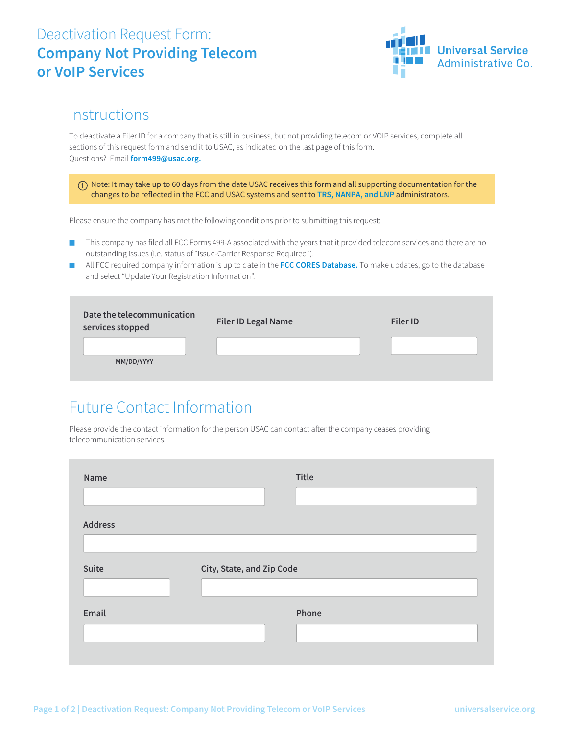

### **Instructions**

To deactivate a Filer ID for a company that is still in business, but not providing telecom or VOIP services, complete all sections of this request form and send it to USAC, as indicated on the last page of this form. Questions? Email **form499@usac.org.**

 Note: It may take up to 60 days from the date USAC receives this form and all supporting documentation for the changes to be reflected in the FCC and USAC systems and sent to **TRS, NANPA, and LNP** administrators.

Please ensure the company has met the following conditions prior to submitting this request:

- This company has filed all FCC Forms 499-A associated with the years that it provided telecom services and there are no outstanding issues (i.e. status of "Issue-Carrier Response Required").
- All FCC required company information is up to date in the FCC CORES Database. To make updates, go to the database and select "Update Your Registration Information".

| Date the telecommunication<br>services stopped | <b>Filer ID Legal Name</b> | <b>Filer ID</b> |
|------------------------------------------------|----------------------------|-----------------|
| MM/DD/YYYY                                     |                            |                 |

# Future Contact Information

Please provide the contact information for the person USAC can contact after the company ceases providing telecommunication services.

| Name           | Title                     |
|----------------|---------------------------|
|                |                           |
| <b>Address</b> |                           |
| Suite          | City, State, and Zip Code |
| Email          | Phone                     |
|                |                           |